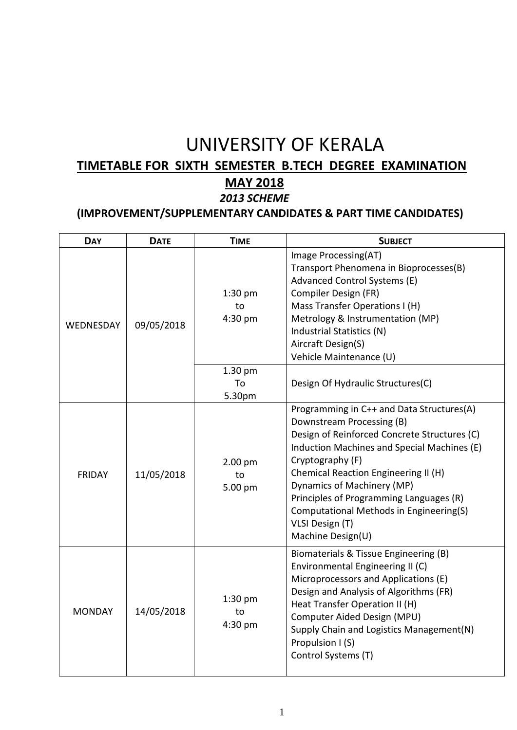# UNIVERSITY OF KERALA

## **TIMETABLE FOR SIXTH SEMESTER B.TECH DEGREE EXAMINATION**

## **MAY 2018**

### *2013 SCHEME*

#### **(IMPROVEMENT/SUPPLEMENTARY CANDIDATES & PART TIME CANDIDATES)**

| <b>DAY</b>       | <b>DATE</b> | <b>TIME</b>                | <b>SUBJECT</b>                                                                                                                                                                                                                                                                                                                                                                                |
|------------------|-------------|----------------------------|-----------------------------------------------------------------------------------------------------------------------------------------------------------------------------------------------------------------------------------------------------------------------------------------------------------------------------------------------------------------------------------------------|
| <b>WEDNESDAY</b> | 09/05/2018  | $1:30$ pm<br>to<br>4:30 pm | Image Processing(AT)<br>Transport Phenomena in Bioprocesses(B)<br>Advanced Control Systems (E)<br>Compiler Design (FR)<br>Mass Transfer Operations I (H)<br>Metrology & Instrumentation (MP)<br>Industrial Statistics (N)<br>Aircraft Design(S)<br>Vehicle Maintenance (U)                                                                                                                    |
|                  |             | 1.30 pm<br>To<br>5.30pm    | Design Of Hydraulic Structures(C)                                                                                                                                                                                                                                                                                                                                                             |
| <b>FRIDAY</b>    | 11/05/2018  | 2.00 pm<br>to<br>5.00 pm   | Programming in C++ and Data Structures(A)<br>Downstream Processing (B)<br>Design of Reinforced Concrete Structures (C)<br>Induction Machines and Special Machines (E)<br>Cryptography (F)<br>Chemical Reaction Engineering II (H)<br>Dynamics of Machinery (MP)<br>Principles of Programming Languages (R)<br>Computational Methods in Engineering(S)<br>VLSI Design (T)<br>Machine Design(U) |
| <b>MONDAY</b>    | 14/05/2018  | $1:30$ pm<br>to<br>4:30 pm | Biomaterials & Tissue Engineering (B)<br>Environmental Engineering II (C)<br>Microprocessors and Applications (E)<br>Design and Analysis of Algorithms (FR)<br>Heat Transfer Operation II (H)<br>Computer Aided Design (MPU)<br>Supply Chain and Logistics Management(N)<br>Propulsion I (S)<br>Control Systems (T)                                                                           |